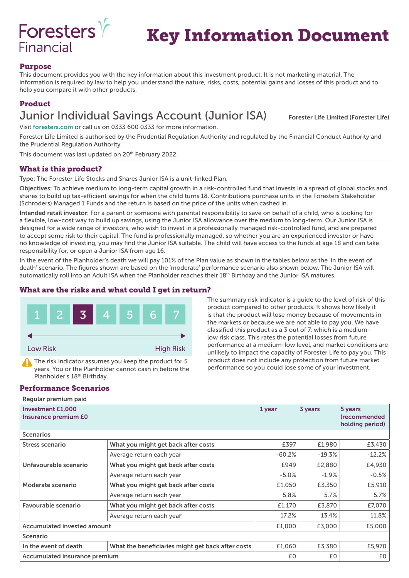

# Key Information Document

## Purpose

This document provides you with the key information about this investment product. It is not marketing material. The information is required by law to help you understand the nature, risks, costs, potential gains and losses of this product and to help you compare it with other products.

# Product

# Junior Individual Savings Account (Junior ISA) Forester Life Limited (Forester Life)

Visit foresters.com or call us on 0333 600 0333 for more information.

Forester Life Limited is authorised by the Prudential Regulation Authority and regulated by the Financial Conduct Authority and the Prudential Regulation Authority.

This document was last updated on 20<sup>th</sup> February 2022.

## What is this product?

Type: The Forester Life Stocks and Shares Junior ISA is a unit-linked Plan.

Objectives: To achieve medium to long-term capital growth in a risk-controlled fund that invests in a spread of global stocks and shares to build up tax-efficient savings for when the child turns 18. Contributions purchase units in the Foresters Stakeholder (Schroders) Managed 1 Funds and the return is based on the price of the units when cashed in.

Intended retail investor: For a parent or someone with parental responsibility to save on behalf of a child, who is looking for a flexible, low-cost way to build up savings, using the Junior ISA allowance over the medium to long-term. Our Junior ISA is designed for a wide range of investors, who wish to invest in a professionally managed risk-controlled fund, and are prepared to accept some risk to their capital. The fund is professionally managed, so whether you are an experienced investor or have no knowledge of investing, you may find the Junior ISA suitable. The child will have access to the funds at age 18 and can take responsibility for, or open a Junior ISA from age 16.

In the event of the Planholder's death we will pay 101% of the Plan value as shown in the tables below as the 'in the event of death' scenario. The figures shown are based on the 'moderate' performance scenario also shown below. The Junior ISA will automatically roll into an Adult ISA when the Planholder reaches their 18<sup>th</sup> Birthday and the Junior ISA matures.

#### What are the risks and what could I get in return?



The risk indicator assumes you keep the product for 5 years. You or the Planholder cannot cash in before the Planholder's 18<sup>th</sup> Birthday.

#### Performance Scenarios

Regular premium paid

The summary risk indicator is a guide to the level of risk of this product compared to other products. It shows how likely it is that the product will lose money because of movements in the markets or because we are not able to pay you. We have classified this product as a 3 out of 7, which is a mediumlow risk class. This rates the potential losses from future performance at a medium-low level, and market conditions are unlikely to impact the capacity of Forester Life to pay you. This product does not include any protection from future market performance so you could lose some of your investment.

| <b>Investment £1,000</b><br>Insurance premium E0 |                                                   | 1 year    | 3 years  | 5 years<br>(recommended<br>holding period) |
|--------------------------------------------------|---------------------------------------------------|-----------|----------|--------------------------------------------|
| <b>Scenarios</b>                                 |                                                   |           |          |                                            |
| Stress scenario                                  | What you might get back after costs               | £397      | £1,980   | £3,430                                     |
|                                                  | Average return each year                          | $-60.2\%$ | $-19.3%$ | $-12.2%$                                   |
| Unfavourable scenario                            | What you might get back after costs               | £949      | £2,880   | £4,930                                     |
|                                                  | Average return each year                          | $-5.0%$   | $-1.9%$  | $-0.5%$                                    |
| Moderate scenario                                | What you might get back after costs               | £1,050    | £3,350   | £5,910                                     |
|                                                  | Average return each year                          | 5.8%      | 5.7%     | 5.7%                                       |
| Favourable scenario                              | What you might get back after costs               | £1,170    | £3,870   | £7,070                                     |
|                                                  | Average return each year                          | 17.2%     | 13.4%    | 11.8%                                      |
| <b>Accumulated invested amount</b>               |                                                   | £1,000    | £3,000   | £5,000                                     |
| Scenario                                         |                                                   |           |          |                                            |
| In the event of death                            | What the beneficiaries might get back after costs | £1,060    | £3,380   | £5,970                                     |
| Accumulated insurance premium                    |                                                   | £0        | £0       | £0                                         |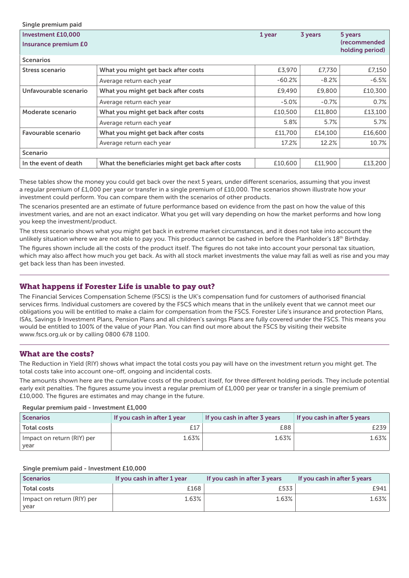| Single premium paid                                      |                                                   |          |         |                                                                  |
|----------------------------------------------------------|---------------------------------------------------|----------|---------|------------------------------------------------------------------|
| <b>Investment £10,000</b><br><b>Insurance premium £0</b> |                                                   | 1 year   | 3 years | 5 years<br><i><u><b>(recommended)</b></u></i><br>holding period) |
| <b>Scenarios</b>                                         |                                                   |          |         |                                                                  |
| <b>Stress scenario</b>                                   | What you might get back after costs               | £3,970   | £7,730  | £7,150                                                           |
|                                                          | Average return each year                          | $-60.2%$ | $-8.2%$ | $-6.5%$                                                          |
| Unfavourable scenario                                    | What you might get back after costs               | £9,490   | £9,800  | £10,300                                                          |
|                                                          | Average return each year                          | $-5.0%$  | $-0.7%$ | 0.7%                                                             |
| Moderate scenario                                        | What you might get back after costs               | £10,500  | £11,800 | £13,100                                                          |
|                                                          | Average return each year                          | 5.8%     | 5.7%    | 5.7%                                                             |
| Favourable scenario                                      | What you might get back after costs               | £11,700  | £14,100 | £16,600                                                          |
|                                                          | Average return each year                          | 17.2%    | 12.2%   | 10.7%                                                            |
| <b>Scenario</b>                                          |                                                   |          |         |                                                                  |
| In the event of death                                    | What the beneficiaries might get back after costs | £10,600  | £11,900 | £13,200                                                          |

These tables show the money you could get back over the next 5 years, under different scenarios, assuming that you invest a regular premium of £1,000 per year or transfer in a single premium of £10,000. The scenarios shown illustrate how your investment could perform. You can compare them with the scenarios of other products.

The scenarios presented are an estimate of future performance based on evidence from the past on how the value of this investment varies, and are not an exact indicator. What you get will vary depending on how the market performs and how long you keep the investment/product.

The stress scenario shows what you might get back in extreme market circumstances, and it does not take into account the unlikely situation where we are not able to pay you. This product cannot be cashed in before the Planholder's 18<sup>th</sup> Birthday.

The figures shown include all the costs of the product itself. The figures do not take into account your personal tax situation, which may also affect how much you get back. As with all stock market investments the value may fall as well as rise and you may get back less than has been invested.

#### What happens if Forester Life is unable to pay out?

The Financial Services Compensation Scheme (FSCS) is the UK's compensation fund for customers of authorised financial services firms. Individual customers are covered by the FSCS which means that in the unlikely event that we cannot meet our obligations you will be entitled to make a claim for compensation from the FSCS. Forester Life's insurance and protection Plans, ISAs, Savings & Investment Plans, Pension Plans and all children's savings Plans are fully covered under the FSCS. This means you would be entitled to 100% of the value of your Plan. You can find out more about the FSCS by visiting their website www.fscs.org.uk or by calling 0800 678 1100.

#### What are the costs?

The Reduction in Yield (RIY) shows what impact the total costs you pay will have on the investment return you might get. The total costs take into account one-off, ongoing and incidental costs.

The amounts shown here are the cumulative costs of the product itself, for three different holding periods. They include potential early exit penalties. The figures assume you invest a regular premium of £1,000 per year or transfer in a single premium of £10,000. The figures are estimates and may change in the future.

#### Regular premium paid - Investment £1,000

| <b>Scenarios</b>           | If you cash in after 1 year | If you cash in after 3 years | If you cash in after 5 years |
|----------------------------|-----------------------------|------------------------------|------------------------------|
| <b>Total costs</b>         |                             | £88                          | :239                         |
| Impact on return (RIY) per | 1.63%                       | 1.63%                        | 1.63%                        |
| vear                       |                             |                              |                              |

#### Single premium paid - Investment £10,000

| <b>Scenarios</b>                   | If you cash in after 1 year | If you cash in after 3 years | If you cash in after 5 years |
|------------------------------------|-----------------------------|------------------------------|------------------------------|
| <b>Total costs</b>                 | £168                        | £533                         | E941                         |
| Impact on return (RIY) per<br>year | 1.63%                       | 1.63%                        | 1.63%                        |